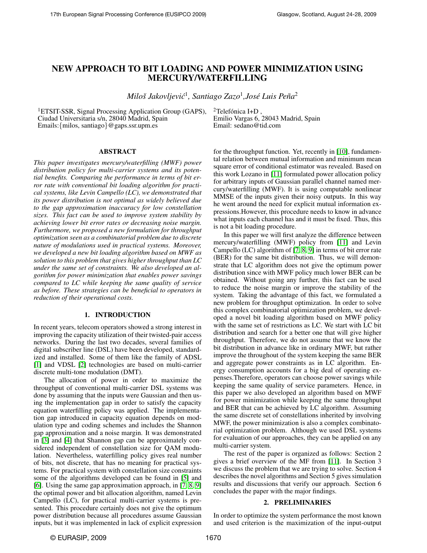# NEW APPROACH TO BIT LOADING AND POWER MINIMIZATION USING MERCURY/WATERFILLING

 $Miloš Jakovljević<sup>1</sup>, Santiago Zazo<sup>1</sup>,José Luis Peña<sup>2</sup>$ 

<sup>1</sup>ETSIT-SSR, Signal Processing Application Group (GAPS), Ciudad Universitaria s/n, 28040 Madrid, Spain Emails:{milos, santiago}@gaps.ssr.upm.es

 ${}^{2}$ Telefónica I+D, Emilio Vargas 6, 28043 Madrid, Spain Email: sedano@tid.com

# ABSTRACT

*This paper investigates mercury/waterfilling (MWF) power distribution policy for multi-carrier systems and its potential benefits. Comparing the performance in terms of bit error rate with conventional bit loading algorithm for practical systems, like Levin Campello (LC), we demonstrated that its power distribution is not optimal as widely believed due to the gap approximation inaccuracy for low constellation sizes. This fact can be used to improve system stability by achieving lower bit error rates or decreasing noise margin. Furthermore, we proposed a new formulation for throughput optimization seen as a combinatorial problem due to discrete nature of modulations used in practical systems. Moreover, we developed a new bit loading algorithm based on MWF as solution to this problem that gives higher throughput than LC under the same set of constraints. We also developed an algorithm for power minimization that enables power savings compared to LC while keeping the same quality of service as before. These strategies can be beneficial to operators in reduction of their operational costs.*

#### 1. INTRODUCTION

In recent years, telecom operators showed a strong interest in improving the capacity utilization of their twisted-pair access networks. During the last two decades, several families of digital subscriber line (DSL) have been developed, standardized and installed. Some of them like the family of ADSL [\[1\]](#page-4-0) and VDSL [\[2\]](#page-4-1) technologies are based on multi-carrier discrete multi-tone modulation (DMT).

The allocation of power in order to maximize the throughput of conventional multi-carrier DSL systems was done by assuming that the inputs were Gaussian and then using the implementation gap in order to satisfy the capacity equation waterfilling policy was applied. The implementation gap introduced in capacity equation depends on modulation type and coding schemes and includes the Shannon gap approximation and a noise margin. It was demonstrated in [\[3\]](#page-4-2) and [\[4\]](#page-4-3) that Shannon gap can be approximately considered independent of constellation size for QAM modulation. Nevertheless, waterfilling policy gives real number of bits, not discrete, that has no meaning for practical systems. For practical system with constellation size constraints some of the algorithms developed can be found in [\[5\]](#page-4-4) and [\[6\]](#page-4-5). Using the same gap approximation approach, in [\[7,](#page-4-6) [8,](#page-4-7) [9\]](#page-4-8) the optimal power and bit allocation algorithm, named Levin Campello (LC), for practical multi-carrier systems is presented. This procedure certainly does not give the optimum power distribution because all procedures assume Gaussian inputs, but it was implemented in lack of explicit expression

for the throughput function. Yet, recently in [\[10\]](#page-4-9), fundamental relation between mutual information and minimum mean square error of conditional estimator was revealed. Based on this work Lozano in [\[11\]](#page-4-10) formulated power allocation policy for arbitrary inputs of Gaussian parallel channel named mercury/waterfilling (MWF). It is using computable nonlinear MMSE of the inputs given their noisy outputs. In this way he went around the need for explicit mutual information expressions.However, this procedure needs to know in advance what inputs each channel has and it must be fixed. Thus, this is not a bit loading procedure.

In this paper we will first analyze the difference between mercury/waterfilling (MWF) policy from [\[11\]](#page-4-10) and Levin Campello (LC) algorithm of [\[7,](#page-4-6) [8,](#page-4-7) [9\]](#page-4-8) in terms of bit error rate (BER) for the same bit distribution. Thus, we will demonstrate that LC algorithm does not give the optimum power distribution since with MWF policy much lower BER can be obtained. Without going any further, this fact can be used to reduce the noise margin or improve the stability of the system. Taking the advantage of this fact, we formulated a new problem for throughput optimization. In order to solve this complex combinatorial optimization problem, we developed a novel bit loading algorithm based on MWF policy with the same set of restrictions as LC. We start with LC bit distribution and search for a better one that will give higher throughput. Therefore, we do not assume that we know the bit distribution in advance like in ordinary MWF, but rather improve the throughout of the system keeping the same BER and aggregate power constraints as in LC algorithm. Energy consumption accounts for a big deal of operating expenses.Therefore, operators can choose power savings while keeping the same quality of service parameters. Hence, in this paper we also developed an algorithm based on MWF for power minimization while keeping the same throughput and BER that can be achieved by LC algorithm. Assuming the same discrete set of constellations inherited by involving MWF, the power minimization is also a complex combinatorial optimization problem. Although we used DSL systems for evaluation of our approaches, they can be applied on any multi-carrier system.

The rest of the paper is organized as follows: Section 2 gives a brief overview of the MF from [\[11\]](#page-4-10). In Section 3 we discuss the problem that we are trying to solve. Section 4 describes the novel algorithms and Section 5 gives simulation results and discussions that verify our approach. Section 6 concludes the paper with the major findings.

# 2. PRELIMINARIES

<span id="page-0-0"></span>In order to optimize the system performance the most known and used criterion is the maximization of the input-output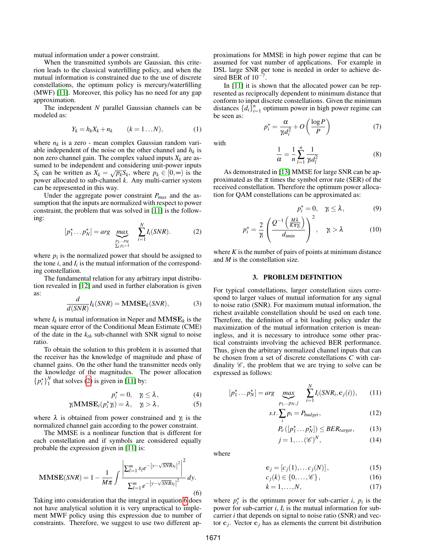mutual information under a power constraint.

When the transmitted symbols are Gaussian, this criterion leads to the classical waterfilling policy, and when the mutual information is constrained due to the use of discrete constellations, the optimum policy is mercury/waterfilling (MWF) [\[11\]](#page-4-10). Moreover, this policy has no need for any gap approximation.

The independent *N* parallel Gaussian channels can be modeled as:

$$
Y_k = h_k X_k + n_k \qquad (k = 1...N), \qquad (1)
$$

where  $n_k$  is a zero - mean complex Gaussian random variable independent of the noise on the other channel and  $h_k$  is non zero channel gain. The complex valued inputs *X<sup>k</sup>* are assumed to be independent and considering unit-power inputs *S*<sup>*k*</sup> can be written as  $X_k = \sqrt{p_k} S_k$ , where  $p_k \in [0, \infty)$  is the power allocated to sub-channel *k*. Any multi-carrier system can be represented in this way.

Under the aggregate power constraint *Pmax* and the assumption that the inputs are normalized with respect to power constraint, the problem that was solved in [\[11\]](#page-4-10) is the following:

<span id="page-1-0"></span>
$$
[p_1^{\star} \dots p_N^{\star}] = arg \max_{\substack{p_1 \dots p_N \\ \sum_{i} p_i = 1}} \sum_{i=1}^N I_i(SNR). \tag{2}
$$

where  $p_i$  is the normalized power that should be assigned to the tone  $i$ , and  $I_i$  is the mutual information of the corresponding constellation.

The fundamental relation for any arbitrary input distribution revealed in [\[12\]](#page-4-11) and used in further elaboration is given as:

$$
\frac{d}{d(SNR)}I_k(SNR) = \mathbf{MMSE}_k(SNR),\tag{3}
$$

where  $I_k$  is mutual information in Neper and  $MMSE_k$  is the mean square error of the Conditional Mean Estimate (CME) of the date in the *kth* sub-channel with SNR signal to noise ratio.

To obtain the solution to this problem it is assumed that the receiver has the knowledge of magnitude and phase of channel gains. On the other hand the transmitter needs only the knowledge of the magnitudes. The power allocation  ${p_i^*}\_1^N$  that solves [\(2\)](#page-1-0) is given in [\[11\]](#page-4-10) by:

<span id="page-1-1"></span>
$$
p_i^* = 0, \quad \gamma_i \le \lambda, \tag{4}
$$

$$
\gamma_i \mathbf{MMSE}_i(p_i^* \gamma_i) = \lambda, \quad \gamma_i > \lambda,
$$
\n(5)

where  $\lambda$  is obtained from power constrained and  $\gamma$  is the normalized channel gain according to the power constraint.

The MMSE is a nonlinear function that is different for each constellation and if symbols are considered equally probable the expression given in [\[11\]](#page-4-10) is:

$$
\mathbf{MMSE}(SNR) = 1 - \frac{1}{M\pi} \int \frac{\left| \sum_{l=1}^{m} s_l e^{-\left| y - \sqrt{SNR} s_l \right|^2} \right|^2}{\sum_{l=1}^{m} e^{-\left| y - \sqrt{SNR} s_l \right|^2}} dy.
$$
\n(6)

Taking into consideration that the integral in equation [6](#page-1-1) does not have analytical solution it is very unpractical to implement MWF policy using this expression due to number of constraints. Therefore, we suggest to use two different approximations for MMSE in high power regime that can be assumed for vast number of applications. For example in DSL large SNR per tone is needed in order to achieve desired BER of  $10^{-7}$ .

In [\[11\]](#page-4-10) it is shown that the allocated power can be represented as reciprocally dependent to minimum distance that conform to input discrete constellations. Given the minimum distances  $\{d_i\}_{i=1}^n$  optimum power in high power regime can be seen as:

<span id="page-1-8"></span>
$$
p_i^* = \frac{\alpha}{\gamma_i d_i^2} + O\left(\frac{\log P}{P}\right) \tag{7}
$$

<span id="page-1-9"></span>with

$$
\frac{1}{\alpha} = \frac{1}{n} \sum_{l=1}^{n} \frac{1}{\gamma_l d_l^2} \tag{8}
$$

As demonstrated in [\[13\]](#page-4-12) MMSE for large SNR can be approximated as the  $\pi$  times the symbol error rate (SER) of the received constellation. Therefore the optimum power allocation for QAM constellations can be approximated as:

<span id="page-1-10"></span>
$$
p_i^* = 0, \quad \gamma_i \le \lambda, \tag{9}
$$

$$
p_i^* = \frac{2}{\gamma_i} \left( \frac{Q^{-1} \left( \frac{M \lambda}{K \pi \gamma_i} \right)}{d_{\text{imin}}} \right)^2, \quad \gamma_i > \lambda \tag{10}
$$

where  $K$  is the number of pairs of points at minimum distance and *M* is the constellation size.

#### 3. PROBLEM DEFINITION

For typical constellations, larger constellation sizes correspond to larger values of mutual information for any signal to noise ratio (SNR). For maximum mutual information, the richest available constellation should be used on each tone. Therefore, the definition of a bit loading policy under the maximization of the mutual information criterion is meaningless, and it is necessary to introduce some other practical constraints involving the achieved BER performance. Thus, given the arbitrary normalized channel inputs that can be chosen from a set of discrete constellations *C* with cardinality  $\mathscr{C}$ , the problem that we are trying to solve can be expressed as follows:

$$
[p_1^* \dots p_N^*] = arg \max_{p_1 \dots p_N, j} \sum_{i=1}^N I_i(SNR_i, \mathbf{c}_j(i)), \qquad (11)
$$

$$
s.t. \sum_{i} p_i = P_{budget}, \qquad (12)
$$

<span id="page-1-4"></span>
$$
P_e([p_1^*...p_N^*]) \le BER_{target}, \qquad (13)
$$

<span id="page-1-7"></span><span id="page-1-6"></span><span id="page-1-5"></span><span id="page-1-3"></span><span id="page-1-2"></span>
$$
j = 1, \dots (\mathcal{C})^N, \tag{14}
$$

where

$$
\mathbf{c}_j = [c_j(1), \dots c_j(N)], \qquad (15)
$$

$$
c_j(k) \in \{0, \ldots, \mathscr{C}\},\tag{16}
$$

$$
k = 1, \dots, N,\tag{17}
$$

where  $p_i^*$  is the optimum power for sub-carrier *i*,  $p_i$  is the power for sub-carrier  $i$ ,  $I_i$  is the mutual information for subcarrier *i* that depends on signal to noise ratio (SNR) and vector  $c_j$ . Vector  $c_j$  has as elements the current bit distribution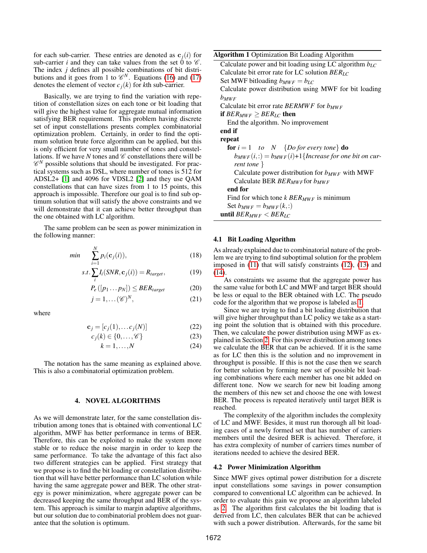for each sub-carrier. These entries are denoted as  $c_i(i)$  for sub-carrier *i* and they can take values from the set  $\dot{0}$  to  $\mathscr{C}$ . The index *j* defines all possible combinations of bit distributions and it goes from 1 to  $\mathcal{C}^N$ . Equations [\(16\)](#page-1-2) and [\(17\)](#page-1-3) denotes the element of vector  $c_j(k)$  for *k*th sub-carrier.

Basically, we are trying to find the variation with repetition of constellation sizes on each tone or bit loading that will give the highest value for aggregate mutual information satisfying BER requirement. This problem having discrete set of input constellations presents complex combinatorial optimization problem. Certainly, in order to find the optimum solution brute force algorithm can be applied, but this is only efficient for very small number of tones and constellations. If we have *N* tones and  $\mathscr C$  constellations there will be  $\mathscr{C}^N$  possible solutions that should be investigated. For practical systems such as DSL, where number of tones is 512 for ADSL2+ [\[1\]](#page-4-0) and 4096 for VDSL2 [\[2\]](#page-4-1) and they use QAM constellations that can have sizes from 1 to 15 points, this approach is impossible. Therefore our goal is to find sub optimum solution that will satisfy the above constraints and we will demonstrate that it can achieve better throughput than the one obtained with LC algorithm.

The same problem can be seen as power minimization in the following manner:

$$
min \qquad \sum_{i=1}^{N} p_i(\mathbf{c}_j(i)), \tag{18}
$$

$$
s.t. \sum_{i} I_{i}(SNR, \mathbf{c}_{j}(i)) = R_{target}, \qquad (19)
$$

$$
P_e([p_1...p_N]) \le BER_{target} \tag{20}
$$

$$
j = 1, \dots (\mathcal{C})^N,\tag{21}
$$

where

$$
\mathbf{c}_j = [c_j(1), \dots c_j(N)] \tag{22}
$$

$$
c_j(k) \in \{0, \ldots, \mathscr{C}\}\tag{23}
$$

$$
k = 1, \dots, N \tag{24}
$$

The notation has the same meaning as explained above. This is also a combinatorial optimization problem.

# 4. NOVEL ALGORITHMS

<span id="page-2-1"></span>As we will demonstrate later, for the same constellation distribution among tones that is obtained with conventional LC algorithm, MWF has better performance in terms of BER. Therefore, this can be exploited to make the system more stable or to reduce the noise margin in order to keep the same performance. To take the advantage of this fact also two different strategies can be applied. First strategy that we propose is to find the bit loading or constellation distribution that will have better performance than LC solution while having the same aggregate power and BER. The other strategy is power minimization, where aggregate power can be decreased keeping the same throughput and BER of the system. This approach is similar to margin adaptive algorithms, but our solution due to combinatorial problem does not guarantee that the solution is optimum.

Algorithm 1 Optimization Bit Loading Algorithm

<span id="page-2-0"></span>

#### 4.1 Bit Loading Algorithm

As already explained due to combinatorial nature of the problem we are trying to find suboptimal solution for the problem imposed in [\(11\)](#page-1-4) that will satisfy constraints [\(12\)](#page-1-5), [\(13\)](#page-1-6) and [\(14\)](#page-1-7).

As constraints we assume that the aggregate power has the same value for both LC and MWF and target BER should be less or equal to the BER obtained with LC. The pseudo code for the algorithm that we propose is labeled as [1.](#page-2-0)

Since we are trying to find a bit loading distribution that will give higher throughput than LC policy we take as a starting point the solution that is obtained with this procedure. Then, we calculate the power distribution using MWF as explained in Section [2.](#page-0-0) For this power distribution among tones we calculate the BER that can be achieved. If it is the same as for LC then this is the solution and no improvement in throughput is possible. If this is not the case then we search for better solution by forming new set of possible bit loading combinations where each member has one bit added on different tone. Now we search for new bit loading among the members of this new set and choose the one with lowest BER. The process is repeated iteratively until target BER is reached.

The complexity of the algorithm includes the complexity of LC and MWF. Besides, it must run thorough all bit loading cases of a newly formed set that has number of carriers members until the desired BER is achieved. Therefore, it has extra complexity of number of carriers times number of iterations needed to achieve the desired BER.

#### 4.2 Power Minimization Algorithm

Since MWF gives optimal power distribution for a discrete input constellations some savings in power consumption compared to conventional LC algorithm can be achieved. In order to evaluate this gain we propose an algorithm labeled as [2.](#page-3-0) The algorithm first calculates the bit loading that is derived from LC, then calculates BER that can be achieved with such a power distribution. Afterwards, for the same bit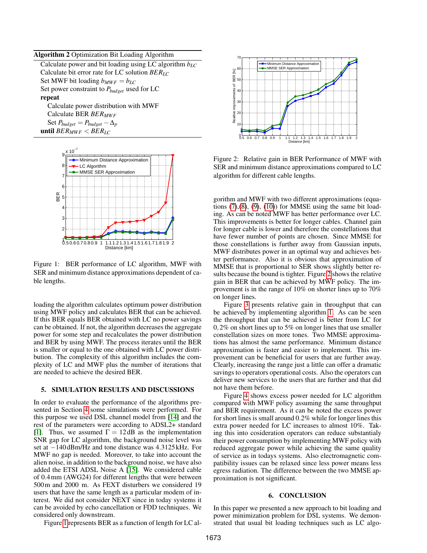#### Algorithm 2 Optimization Bit Loading Algorithm

<span id="page-3-0"></span>Calculate power and bit loading using LC algorithm *bLC* Calculate bit error rate for LC solution *BERLC* Set MWF bit loading  $b_{MWF} = b_{LC}$ Set power constraint to *Pbudget* used for LC repeat Calculate power distribution with MWF

Calculate BER *BERMW F* Set  $P_{budget} = P_{budget} - \Delta_p$ until  $BER_{MWF} < BER_{LC}$ 



Figure 1: BER performance of LC algorithm, MWF with SER and minimum distance approximations dependent of cable lengths.

loading the algorithm calculates optimum power distribution using MWF policy and calculates BER that can be achieved. If this BER equals BER obtained with LC no power savings can be obtained. If not, the algorithm decreases the aggregate power for some step and recalculates the power distribution and BER by using MWF. The process iterates until the BER is smaller or equal to the one obtained with LC power distribution. The complexity of this algorithm includes the complexity of LC and MWF plus the number of iterations that are needed to achieve the desired BER.

# 5. SIMULATION RESULTS AND DISCUSSIONS

In order to evaluate the performance of the algorithms presented in Section [4](#page-2-1) some simulations were performed. For this purpose we used DSL channel model from [\[14\]](#page-4-13) and the rest of the parameters were according to ADSL2+ standard [\[1\]](#page-4-0). Thus, we assumed  $\Gamma = 12 \text{ dB}$  as the implementation SNR gap for LC algorithm, the background noise level was set at −140 dBm/Hz and tone distance was 4.3125 kHz. For MWF no gap is needed. Moreover, to take into account the alien noise, in addition to the background noise, we have also added the ETSI ADSL Noise A [\[15\]](#page-4-14). We considered cable of 0.4mm (AWG24) for different lengths that were between 500m and 2000 m. As FEXT disturbers we considered 19 users that have the same length as a particular modem of interest. We did not consider NEXT since in today systems it can be avoided by echo cancellation or FDD techniques. We considered only downstream.





<span id="page-3-2"></span>Figure 2: Relative gain in BER Performance of MWF with SER and minimum distance approximations compared to LC algorithm for different cable lengths.

<span id="page-3-1"></span>gorithm and MWF with two different approximations (equations  $(7)$ , $(8)$ ,  $(9)$ ,  $(10)$  for MMSE using the same bit loading. As can be noted MWF has better performance over LC. This improvements is better for longer cables. Channel gain for longer cable is lower and therefore the constellations that have fewer number of points are chosen. Since MMSE for those constellations is further away from Gaussian inputs, MWF distributes power in an optimal way and achieves better performance. Also it is obvious that approximation of MMSE that is proportional to SER shows slightly better results because the bound is tighter. Figure [2](#page-3-2) shows the relative gain in BER that can be achieved by MWF policy. The improvement is in the range of 10% on shorter lines up to 70% on longer lines.

Figure [3](#page-4-15) presents relative gain in throughput that can be achieved by implementing algorithm [1.](#page-2-0) As can be seen the throughput that can be achieved is better from LC for 0,2% on short lines up to 5% on longer lines that use smaller constellation sizes on more tones. Two MMSE approximations has almost the same performance. Minimum distance approximation is faster and easier to implement. This improvement can be beneficial for users that are further away. Clearly, increasing the range just a little can offer a dramatic savings to operators operational costs. Also the operators can deliver new services to the users that are further and that did not have them before.

Figure [4](#page-4-16) shows excess power needed for LC algorithm compared with MWF policy assuming the same throughput and BER requirement. As it can be noted the excess power for short lines is small around 0.2% while for longer lines this extra power needed for LC increases to almost 10%. Taking this into cosideration operators can reduce substantialy their power consumption by implementing MWF policy with reduced aggregate power while achieving the same quality of service as in todays systems. Also electromagnetic compatibility issues can be relaxed since less power means less egress radiation. The difference between the two MMSE approximation is not significant.

#### 6. CONCLUSION

In this paper we presented a new approach to bit loading and power minimization problem for DSL systems. We demonstrated that usual bit loading techniques such as LC algo-